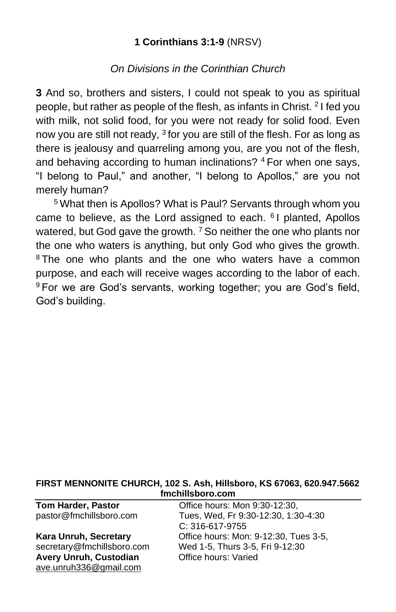## **1 Corinthians 3:1-9** (NRSV)

## *On Divisions in the Corinthian Church*

**3** And so, brothers and sisters, I could not speak to you as spiritual people, but rather as people of the flesh, as infants in Christ. <sup>2</sup> I fed you with milk, not solid food, for you were not ready for solid food. Even now you are still not ready, <sup>3</sup> for you are still of the flesh. For as long as there is jealousy and quarreling among you, are you not of the flesh, and behaving according to human inclinations? <sup>4</sup> For when one says, "I belong to Paul," and another, "I belong to Apollos," are you not merely human?

<sup>5</sup> What then is Apollos? What is Paul? Servants through whom you came to believe, as the Lord assigned to each. <sup>6</sup> I planted, Apollos watered, but God gave the growth.  $7$  So neither the one who plants nor the one who waters is anything, but only God who gives the growth. <sup>8</sup>The one who plants and the one who waters have a common purpose, and each will receive wages according to the labor of each. <sup>9</sup> For we are God's servants, working together; you are God's field, God's building.

#### **FIRST MENNONITE CHURCH, 102 S. Ash, Hillsboro, KS 67063, 620.947.5662 fmchillsboro.com**

| <b>Tom Harder, Pastor</b>     | Office hours: Mon 9:30-12:30,         |
|-------------------------------|---------------------------------------|
| pastor@fmchillsboro.com       | Tues, Wed, Fr 9:30-12:30, 1:30-4:30   |
|                               | $C: 316-617-9755$                     |
| <b>Kara Unruh, Secretary</b>  | Office hours: Mon: 9-12:30, Tues 3-5, |
| secretary@fmchillsboro.com    | Wed 1-5, Thurs 3-5, Fri 9-12:30       |
| <b>Avery Unruh, Custodian</b> | Office hours: Varied                  |
| ave.unruh336@gmail.com        |                                       |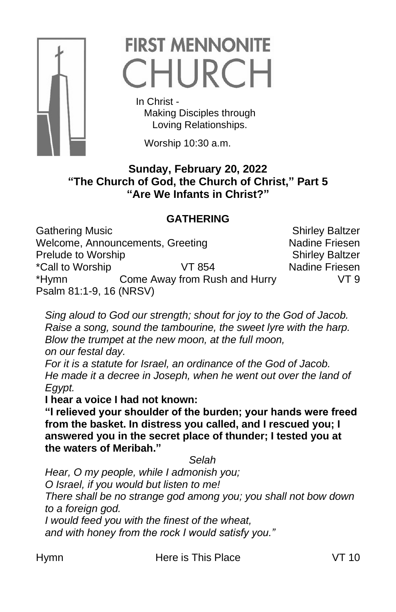

# **FIRST MENNONITE** CHURCH

 In Christ - Making Disciples through Loving Relationships.

Worship 10:30 a.m.

## **Sunday, February 20, 2022 "The Church of God, the Church of Christ," Part 5 "Are We Infants in Christ?"**

# **GATHERING**

Gathering Music **Shirley Baltzer** Shirley Baltzer Welcome, Announcements, Greeting Nadine Friesen Prelude to Worship Shirley Baltzer \*Call to Worship VT 854 Nadine Friesen \*Hymn Come Away from Rush and Hurry VT 9 Psalm 81:1-9, 16 (NRSV)

*Sing aloud to God our strength; shout for joy to the God of Jacob. Raise a song, sound the tambourine, the sweet lyre with the harp. Blow the trumpet at the new moon, at the full moon, on our festal day.* 

*For it is a statute for Israel, an ordinance of the God of Jacob. He made it a decree in Joseph, when he went out over the land of Egypt.* 

**I hear a voice I had not known:** 

**"I relieved your shoulder of the burden; your hands were freed from the basket. In distress you called, and I rescued you; I answered you in the secret place of thunder; I tested you at the waters of Meribah."**

*Selah*

*Hear, O my people, while I admonish you; O Israel, if you would but listen to me! There shall be no strange god among you; you shall not bow down to a foreign god. I would feed you with the finest of the wheat,* 

*and with honey from the rock I would satisfy you."*

Hymn Here is This Place VT 10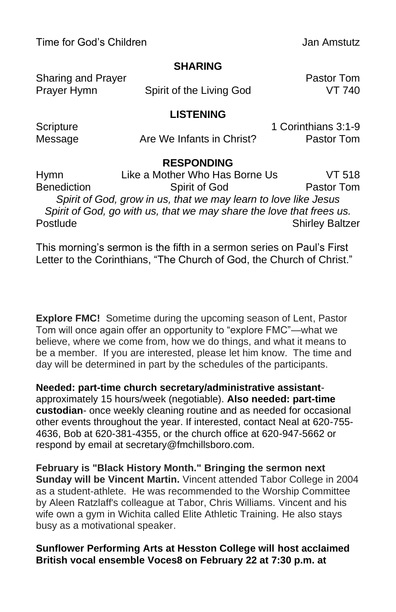Time for God's Children Jan Amstutz

## **SHARING**

| Sharing and Prayer |                          | <b>Pastor Tom</b> |
|--------------------|--------------------------|-------------------|
| Prayer Hymn        | Spirit of the Living God | VT 740            |

### **LISTENING**

| Scripture |                           | 1 Corinthians 3:1-9 |
|-----------|---------------------------|---------------------|
| Message   | Are We Infants in Christ? | Pastor Tom          |

## **RESPONDING**

| Hymn                                                            | Like a Mother Who Has Borne Us                                       | VT 518                 |  |  |
|-----------------------------------------------------------------|----------------------------------------------------------------------|------------------------|--|--|
| <b>Benediction</b>                                              | Spirit of God                                                        | Pastor Tom             |  |  |
| Spirit of God, grow in us, that we may learn to love like Jesus |                                                                      |                        |  |  |
|                                                                 | Spirit of God, go with us, that we may share the love that frees us. |                        |  |  |
| Postlude                                                        |                                                                      | <b>Shirley Baltzer</b> |  |  |

This morning's sermon is the fifth in a sermon series on Paul's First Letter to the Corinthians, "The Church of God, the Church of Christ."

**Explore FMC!** Sometime during the upcoming season of Lent, Pastor Tom will once again offer an opportunity to "explore FMC"—what we believe, where we come from, how we do things, and what it means to be a member. If you are interested, please let him know. The time and day will be determined in part by the schedules of the participants.

**Needed: part-time church secretary/administrative assistant**approximately 15 hours/week (negotiable). **Also needed: part-time custodian**- once weekly cleaning routine and as needed for occasional other events throughout the year. If interested, contact Neal at 620-755- 4636, Bob at 620-381-4355, or the church office at 620-947-5662 or respond by email at secretary@fmchillsboro.com.

**February is "Black History Month." Bringing the sermon next Sunday will be Vincent Martin.** Vincent attended Tabor College in 2004 as a student-athlete. He was recommended to the Worship Committee by Aleen Ratzlaff's colleague at Tabor, Chris Williams. Vincent and his wife own a gym in Wichita called Elite Athletic Training. He also stays busy as a motivational speaker.

### **Sunflower Performing Arts at Hesston College will host acclaimed British vocal ensemble Voces8 on February 22 at 7:30 p.m. at**